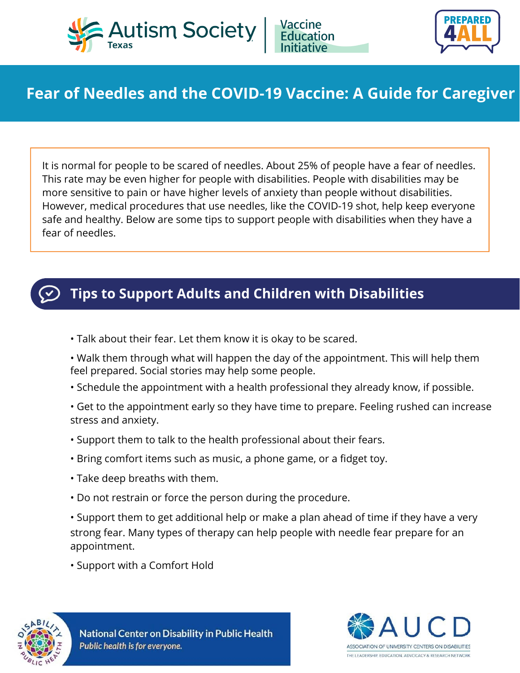



## **Fear of Needles and the COVID-19 Vaccine: A Guide for Caregiver**

It is normal for people to be scared of needles. About 25% of people have a fear of needles. This rate may be even higher for people with disabilities. People with disabilities may be more sensitive to pain or have higher levels of anxiety than people without disabilities. However, medical procedures that use needles, like the COVID-19 shot, help keep everyone safe and healthy. Below are some tips to support people with disabilities when they have a fear of needles.



## **Tips to Support Adults and Children with Disabilities**

- Talk about their fear. Let them know it is okay to be scared.
- Walk them through what will happen the day of the appointment. This will help them feel prepared. Social stories may help some people.
- Schedule the appointment with a health professional they already know, if possible.
- Get to the appointment early so they have time to prepare. Feeling rushed can increase stress and anxiety.
- Support them to talk to the health professional about their fears.
- Bring comfort items such as music, a phone game, or a fidget toy.
- Take deep breaths with them.
- Do not restrain or force the person during the procedure.

• Support them to get additional help or make a plan ahead of time if they have a very strong fear. Many types of therapy can help people with needle fear prepare for an appointment.

• Support with a Comfort Hold